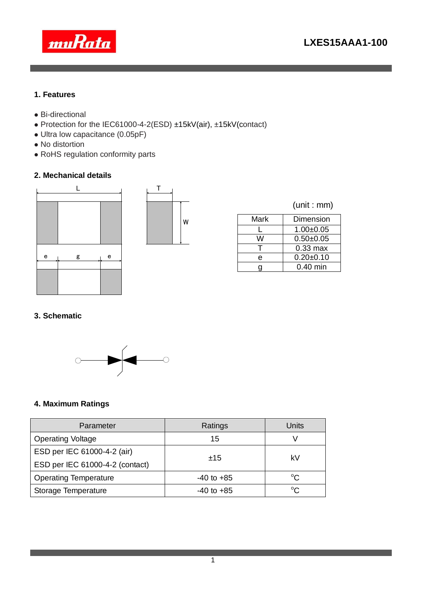

### **1. Features**

- Bi-directional
- Protection for the IEC61000-4-2(ESD) ±15kV(air), ±15kV(contact)
- Ultra low capacitance (0.05pF)
- No distortion
- RoHS regulation conformity parts

## **2. Mechanical details**





|  | (unit : mm) |
|--|-------------|
|  |             |

| Mark | Dimension     |
|------|---------------|
|      | $1.00 + 0.05$ |
| W    | $0.50 + 0.05$ |
|      | $0.33$ max    |
| е    | $0.20 + 0.10$ |
|      | $0.40$ min    |
|      |               |

## **3. Schematic**



## **4. Maximum Ratings**

| Parameter                       | Ratings        | Units       |  |
|---------------------------------|----------------|-------------|--|
| <b>Operating Voltage</b>        | 15             |             |  |
| ESD per IEC 61000-4-2 (air)     |                | kV          |  |
| ESD per IEC 61000-4-2 (contact) | ±15            |             |  |
| <b>Operating Temperature</b>    | $-40$ to $+85$ | $\rm ^{o}C$ |  |
| Storage Temperature             | $-40$ to $+85$ | $^{\circ}C$ |  |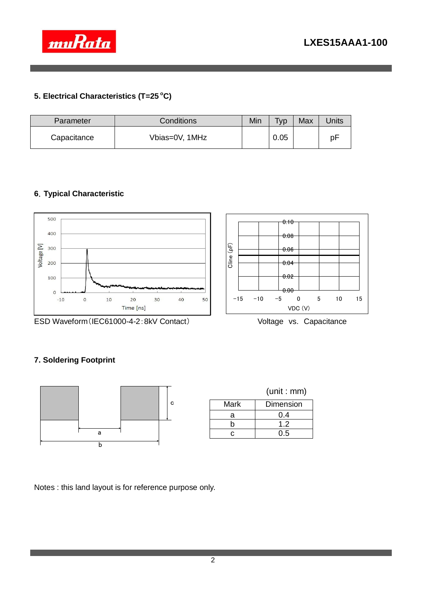

# **5. Electrical Characteristics (T=25 <sup>o</sup>C)**

| Parameter   | <b>Conditions</b> | Min | <b>Typ</b> | Max | <b>Jnits</b> |
|-------------|-------------------|-----|------------|-----|--------------|
| Capacitance | Vbias=0V, 1MHz    |     | 0.05       |     | pF           |

# **6**.**Typical Characteristic**



ESD Waveform (IEC61000-4-2:8kV Contact) Voltage vs. Capacitance



# **7. Soldering Footprint**



|      | (unit:mm) |
|------|-----------|
| Mark | Dimension |
| а    | 0.4       |
| h    | 1.2       |
|      | 0.5       |

Notes : this land layout is for reference purpose only.